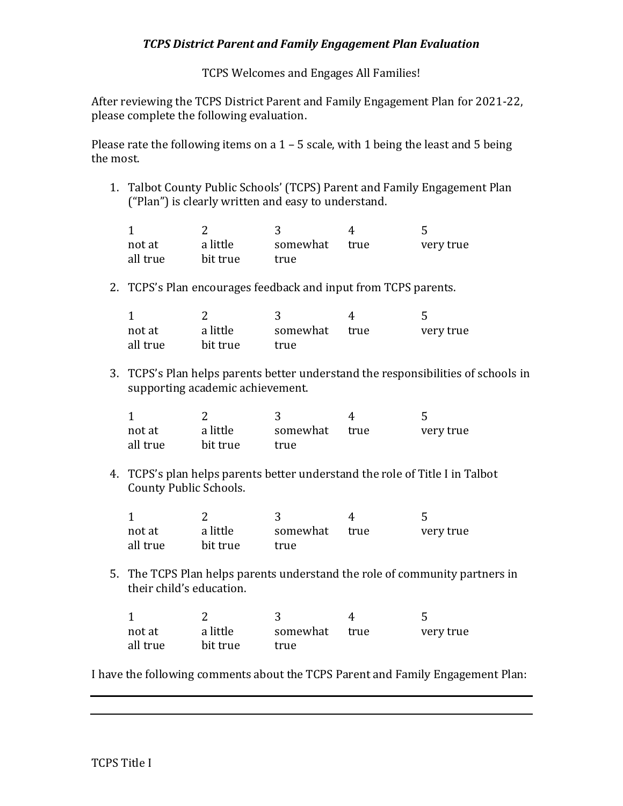## *TCPS District Parent and Family Engagement Plan Evaluation*

TCPS Welcomes and Engages All Families!

After reviewing the TCPS District Parent and Family Engagement Plan for 2021-22, please complete the following evaluation.

Please rate the following items on a 1 – 5 scale, with 1 being the least and 5 being the most.

1. Talbot County Public Schools' (TCPS) Parent and Family Engagement Plan ("Plan") is clearly written and easy to understand.

| not at   | a little | somewhat | true | very true |
|----------|----------|----------|------|-----------|
| all true | bit true | true     |      |           |

2. TCPS's Plan encourages feedback and input from TCPS parents.

| not at   | a little | somewhat | true | very true |
|----------|----------|----------|------|-----------|
| all true | bit true | true     |      |           |

3. TCPS's Plan helps parents better understand the responsibilities of schools in supporting academic achievement.

| not at   | a little | somewhat true | very true |
|----------|----------|---------------|-----------|
| all true | bit true | true          |           |

4. TCPS's plan helps parents better understand the role of Title I in Talbot County Public Schools.

| not at   | a little | somewhat | true | very true |
|----------|----------|----------|------|-----------|
| all true | bit true | true     |      |           |

5. The TCPS Plan helps parents understand the role of community partners in their child's education.

| not at   | a little | somewhat | true | very true |
|----------|----------|----------|------|-----------|
| all true | bit true | true     |      |           |

I have the following comments about the TCPS Parent and Family Engagement Plan: